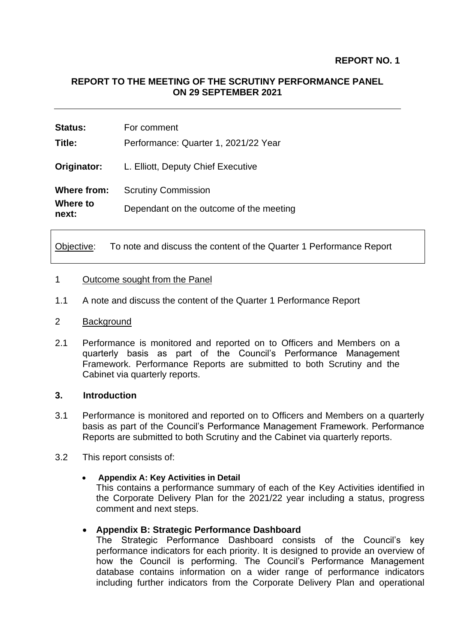# **REPORT TO THE MEETING OF THE SCRUTINY PERFORMANCE PANEL ON 29 SEPTEMBER 2021**

| <b>Status:</b>    | For comment                             |
|-------------------|-----------------------------------------|
| Title:            | Performance: Quarter 1, 2021/22 Year    |
| Originator:       | L. Elliott, Deputy Chief Executive      |
| Where from:       | <b>Scrutiny Commission</b>              |
| Where to<br>next: | Dependant on the outcome of the meeting |

Objective: To note and discuss the content of the Quarter 1 Performance Report

### 1 Outcome sought from the Panel

1.1 A note and discuss the content of the Quarter 1 Performance Report

#### 2 Background

2.1 Performance is monitored and reported on to Officers and Members on a quarterly basis as part of the Council's Performance Management Framework. Performance Reports are submitted to both Scrutiny and the Cabinet via quarterly reports.

#### **3. Introduction**

- 3.1 Performance is monitored and reported on to Officers and Members on a quarterly basis as part of the Council's Performance Management Framework. Performance Reports are submitted to both Scrutiny and the Cabinet via quarterly reports.
- 3.2 This report consists of:

#### • **Appendix A: Key Activities in Detail**

This contains a performance summary of each of the Key Activities identified in the Corporate Delivery Plan for the 2021/22 year including a status, progress comment and next steps.

### • **Appendix B: Strategic Performance Dashboard**

The Strategic Performance Dashboard consists of the Council's key performance indicators for each priority. It is designed to provide an overview of how the Council is performing. The Council's Performance Management database contains information on a wider range of performance indicators including further indicators from the Corporate Delivery Plan and operational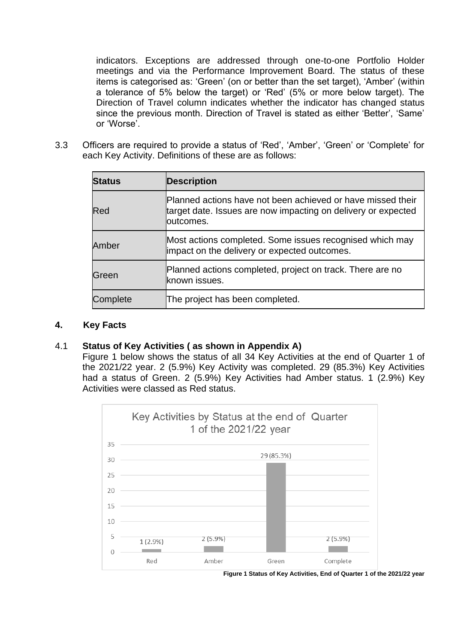indicators. Exceptions are addressed through one-to-one Portfolio Holder meetings and via the Performance Improvement Board. The status of these items is categorised as: 'Green' (on or better than the set target), 'Amber' (within a tolerance of 5% below the target) or 'Red' (5% or more below target). The Direction of Travel column indicates whether the indicator has changed status since the previous month. Direction of Travel is stated as either 'Better', 'Same' or 'Worse'.

3.3 Officers are required to provide a status of 'Red', 'Amber', 'Green' or 'Complete' for each Key Activity. Definitions of these are as follows:

| <b>Status</b> | <b>Description</b>                                                                                                                        |
|---------------|-------------------------------------------------------------------------------------------------------------------------------------------|
| Red           | Planned actions have not been achieved or have missed their<br>target date. Issues are now impacting on delivery or expected<br>outcomes. |
| Amber         | Most actions completed. Some issues recognised which may<br>impact on the delivery or expected outcomes.                                  |
| Green         | Planned actions completed, project on track. There are no<br>known issues.                                                                |
| Complete      | The project has been completed.                                                                                                           |

### **4. Key Facts**

## 4.1 **Status of Key Activities ( as shown in Appendix A)**

Figure 1 below shows the status of all 34 Key Activities at the end of Quarter 1 of the 2021/22 year. 2 (5.9%) Key Activity was completed. 29 (85.3%) Key Activities had a status of Green. 2 (5.9%) Key Activities had Amber status. 1 (2.9%) Key Activities were classed as Red status.



**Figure 1 Status of Key Activities, End of Quarter 1 of the 2021/22 year**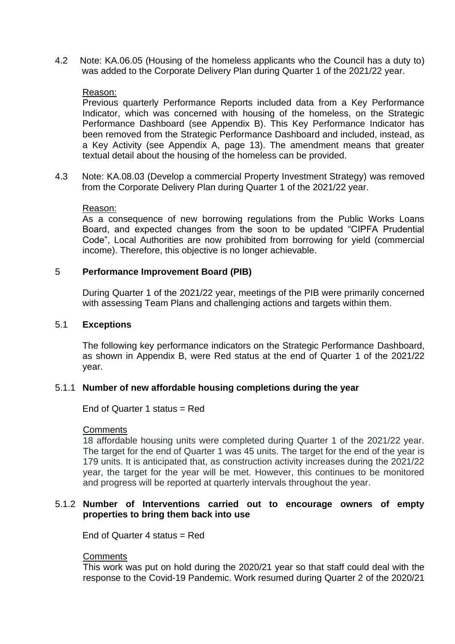4.2 Note: KA.06.05 (Housing of the homeless applicants who the Council has a duty to) was added to the Corporate Delivery Plan during Quarter 1 of the 2021/22 year.

### Reason:

Previous quarterly Performance Reports included data from a Key Performance Indicator, which was concerned with housing of the homeless, on the Strategic Performance Dashboard (see Appendix B). This Key Performance Indicator has been removed from the Strategic Performance Dashboard and included, instead, as a Key Activity (see Appendix A, page 13). The amendment means that greater textual detail about the housing of the homeless can be provided.

4.3 Note: KA.08.03 (Develop a commercial Property Investment Strategy) was removed from the Corporate Delivery Plan during Quarter 1 of the 2021/22 year.

#### Reason:

As a consequence of new borrowing regulations from the Public Works Loans Board, and expected changes from the soon to be updated "CIPFA Prudential Code", Local Authorities are now prohibited from borrowing for yield (commercial income). Therefore, this objective is no longer achievable.

#### 5 **Performance Improvement Board (PIB)**

During Quarter 1 of the 2021/22 year, meetings of the PIB were primarily concerned with assessing Team Plans and challenging actions and targets within them.

#### 5.1 **Exceptions**

The following key performance indicators on the Strategic Performance Dashboard, as shown in Appendix B, were Red status at the end of Quarter 1 of the 2021/22 year.

#### 5.1.1 **Number of new affordable housing completions during the year**

End of Quarter 1 status = Red

#### **Comments**

18 affordable housing units were completed during Quarter 1 of the 2021/22 year. The target for the end of Quarter 1 was 45 units. The target for the end of the year is 179 units. It is anticipated that, as construction activity increases during the 2021/22 year, the target for the year will be met. However, this continues to be monitored and progress will be reported at quarterly intervals throughout the year.

### 5.1.2 **Number of Interventions carried out to encourage owners of empty properties to bring them back into use**

End of Quarter 4 status = Red

#### **Comments**

This work was put on hold during the 2020/21 year so that staff could deal with the response to the Covid-19 Pandemic. Work resumed during Quarter 2 of the 2020/21